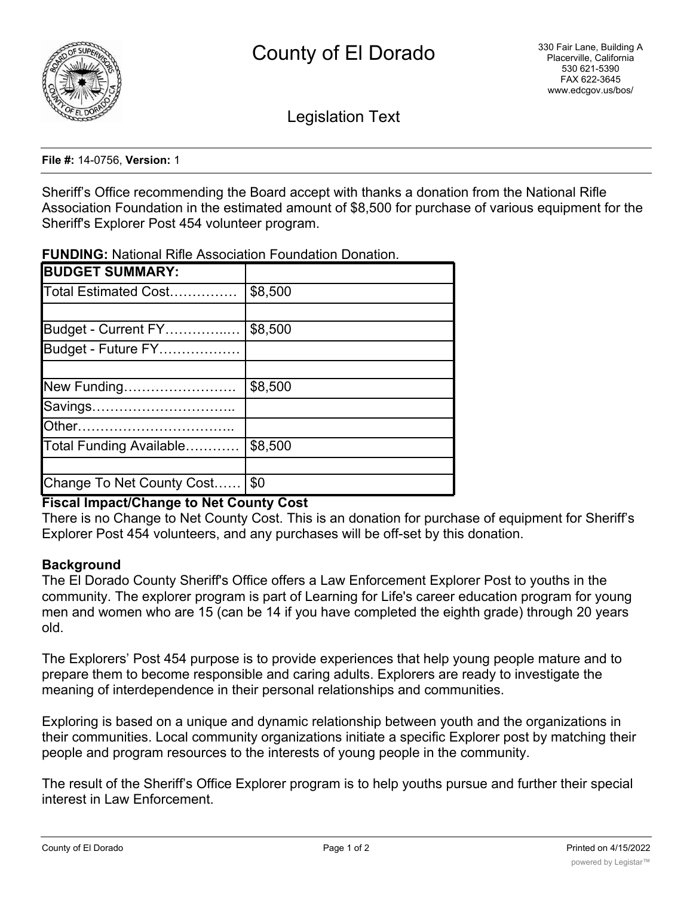

Legislation Text

**File #:** 14-0756, **Version:** 1

Sheriff's Office recommending the Board accept with thanks a donation from the National Rifle Association Foundation in the estimated amount of \$8,500 for purchase of various equipment for the Sheriff's Explorer Post 454 volunteer program.

**FUNDING:** National Rifle Association Foundation Donation.

| <b>BUDGET SUMMARY:</b>    |         |
|---------------------------|---------|
| Total Estimated Cost      | \$8,500 |
|                           |         |
| Budget - Current FY       | \$8,500 |
| Budget - Future FY        |         |
|                           |         |
| New Funding               | \$8,500 |
| Savings                   |         |
| <b>Other</b>              |         |
| Total Funding Available   | \$8,500 |
|                           |         |
| Change To Net County Cost | \$0     |

# **Fiscal Impact/Change to Net County Cost**

There is no Change to Net County Cost. This is an donation for purchase of equipment for Sheriff's Explorer Post 454 volunteers, and any purchases will be off-set by this donation.

### **Background**

The El Dorado County Sheriff's Office offers a Law Enforcement Explorer Post to youths in the community. The explorer program is part of Learning for Life's career education program for young men and women who are 15 (can be 14 if you have completed the eighth grade) through 20 years old.

The Explorers' Post 454 purpose is to provide experiences that help young people mature and to prepare them to become responsible and caring adults. Explorers are ready to investigate the meaning of interdependence in their personal relationships and communities.

Exploring is based on a unique and dynamic relationship between youth and the organizations in their communities. Local community organizations initiate a specific Explorer post by matching their people and program resources to the interests of young people in the community.

The result of the Sheriff's Office Explorer program is to help youths pursue and further their special interest in Law Enforcement.